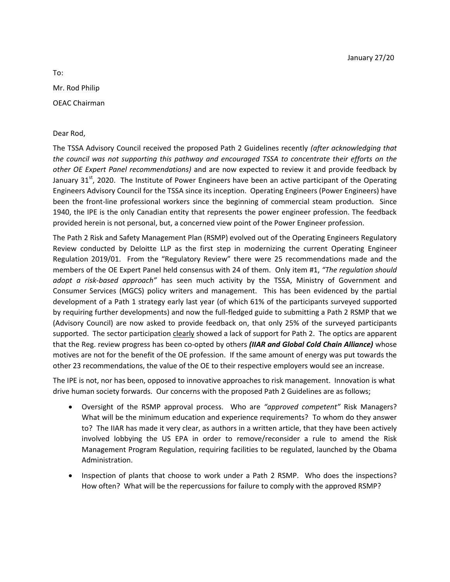To: Mr. Rod Philip OEAC Chairman

## Dear Rod,

The TSSA Advisory Council received the proposed Path 2 Guidelines recently *(after acknowledging that the council was not supporting this pathway and encouraged TSSA to concentrate their efforts on the other OE Expert Panel recommendations)* and are now expected to review it and provide feedback by January 31 $<sup>st</sup>$ , 2020. The Institute of Power Engineers have been an active participant of the Operating</sup> Engineers Advisory Council for the TSSA since its inception. Operating Engineers (Power Engineers) have been the front-line professional workers since the beginning of commercial steam production. Since 1940, the IPE is the only Canadian entity that represents the power engineer profession. The feedback provided herein is not personal, but, a concerned view point of the Power Engineer profession.

The Path 2 Risk and Safety Management Plan (RSMP) evolved out of the Operating Engineers Regulatory Review conducted by Deloitte LLP as the first step in modernizing the current Operating Engineer Regulation 2019/01. From the "Regulatory Review" there were 25 recommendations made and the members of the OE Expert Panel held consensus with 24 of them. Only item #1, *"The regulation should adopt a risk-based approach"* has seen much activity by the TSSA, Ministry of Government and Consumer Services (MGCS) policy writers and management. This has been evidenced by the partial development of a Path 1 strategy early last year (of which 61% of the participants surveyed supported by requiring further developments) and now the full-fledged guide to submitting a Path 2 RSMP that we (Advisory Council) are now asked to provide feedback on, that only 25% of the surveyed participants supported. The sector participation clearly showed a lack of support for Path 2. The optics are apparent that the Reg. review progress has been co-opted by others *(IIAR and Global Cold Chain Alliance)* whose motives are not for the benefit of the OE profession. If the same amount of energy was put towards the other 23 recommendations, the value of the OE to their respective employers would see an increase.

The IPE is not, nor has been, opposed to innovative approaches to risk management. Innovation is what drive human society forwards. Our concerns with the proposed Path 2 Guidelines are as follows;

- Oversight of the RSMP approval process. Who are *"approved competent"* Risk Managers? What will be the minimum education and experience requirements? To whom do they answer to? The IIAR has made it very clear, as authors in a written article, that they have been actively involved lobbying the US EPA in order to remove/reconsider a rule to amend the Risk Management Program Regulation, requiring facilities to be regulated, launched by the Obama Administration.
- Inspection of plants that choose to work under a Path 2 RSMP. Who does the inspections? How often? What will be the repercussions for failure to comply with the approved RSMP?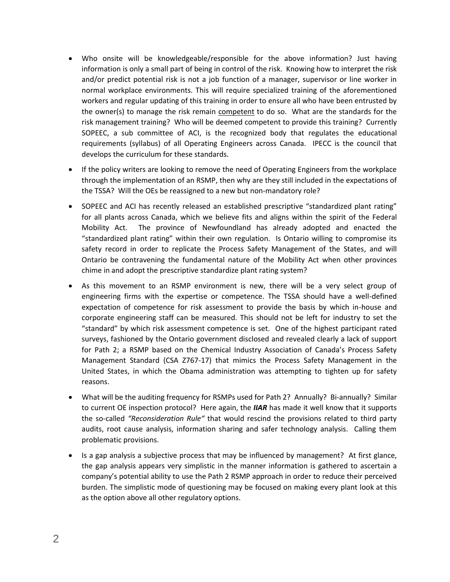- Who onsite will be knowledgeable/responsible for the above information? Just having information is only a small part of being in control of the risk. Knowing how to interpret the risk and/or predict potential risk is not a job function of a manager, supervisor or line worker in normal workplace environments. This will require specialized training of the aforementioned workers and regular updating of this training in order to ensure all who have been entrusted by the owner(s) to manage the risk remain competent to do so. What are the standards for the risk management training? Who will be deemed competent to provide this training? Currently SOPEEC, a sub committee of ACI, is the recognized body that regulates the educational requirements (syllabus) of all Operating Engineers across Canada. IPECC is the council that develops the curriculum for these standards.
- If the policy writers are looking to remove the need of Operating Engineers from the workplace through the implementation of an RSMP, then why are they still included in the expectations of the TSSA? Will the OEs be reassigned to a new but non-mandatory role?
- SOPEEC and ACI has recently released an established prescriptive "standardized plant rating" for all plants across Canada, which we believe fits and aligns within the spirit of the Federal Mobility Act. The province of Newfoundland has already adopted and enacted the "standardized plant rating" within their own regulation. Is Ontario willing to compromise its safety record in order to replicate the Process Safety Management of the States, and will Ontario be contravening the fundamental nature of the Mobility Act when other provinces chime in and adopt the prescriptive standardize plant rating system?
- As this movement to an RSMP environment is new, there will be a very select group of engineering firms with the expertise or competence. The TSSA should have a well-defined expectation of competence for risk assessment to provide the basis by which in-house and corporate engineering staff can be measured. This should not be left for industry to set the "standard" by which risk assessment competence is set. One of the highest participant rated surveys, fashioned by the Ontario government disclosed and revealed clearly a lack of support for Path 2; a RSMP based on the Chemical Industry Association of Canada's Process Safety Management Standard (CSA Z767-17) that mimics the Process Safety Management in the United States, in which the Obama administration was attempting to tighten up for safety reasons.
- What will be the auditing frequency for RSMPs used for Path 2? Annually? Bi-annually? Similar to current OE inspection protocol? Here again, the *IIAR* has made it well know that it supports the so-called *"Reconsideration Rule"* that would rescind the provisions related to third party audits, root cause analysis, information sharing and safer technology analysis. Calling them problematic provisions.
- Is a gap analysis a subjective process that may be influenced by management? At first glance, the gap analysis appears very simplistic in the manner information is gathered to ascertain a company's potential ability to use the Path 2 RSMP approach in order to reduce their perceived burden. The simplistic mode of questioning may be focused on making every plant look at this as the option above all other regulatory options.